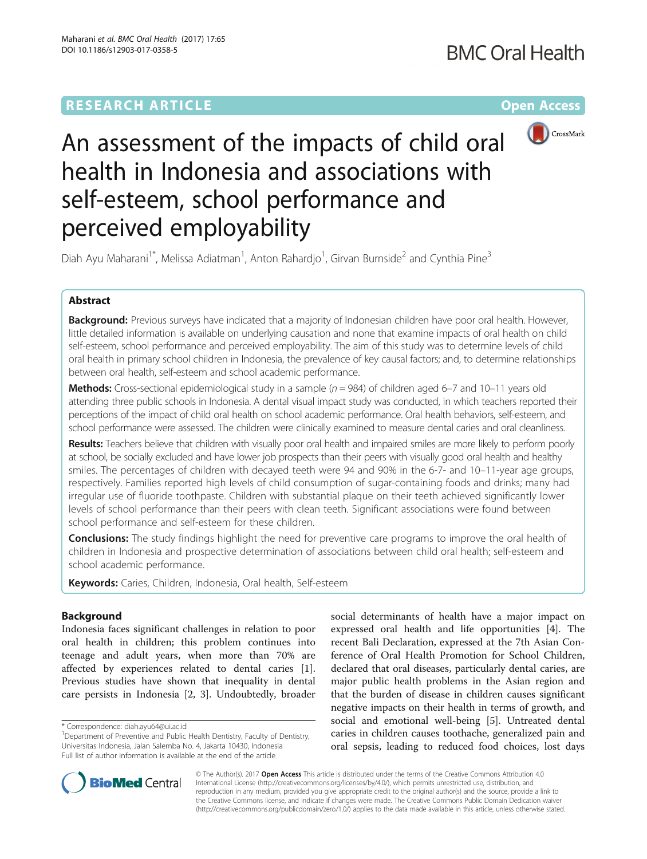# **RESEARCH ARTICLE Example 2014 12:30 The Community Community Community Community Community Community Community**



# An assessment of the impacts of child oral health in Indonesia and associations with self-esteem, school performance and perceived employability

Diah Ayu Maharani<sup>1\*</sup>, Melissa Adiatman<sup>1</sup>, Anton Rahardjo<sup>1</sup>, Girvan Burnside<sup>2</sup> and Cynthia Pine<sup>3</sup>

# Abstract

Background: Previous surveys have indicated that a majority of Indonesian children have poor oral health. However, little detailed information is available on underlying causation and none that examine impacts of oral health on child self-esteem, school performance and perceived employability. The aim of this study was to determine levels of child oral health in primary school children in Indonesia, the prevalence of key causal factors; and, to determine relationships between oral health, self-esteem and school academic performance.

**Methods:** Cross-sectional epidemiological study in a sample ( $n = 984$ ) of children aged 6–7 and 10–11 years old attending three public schools in Indonesia. A dental visual impact study was conducted, in which teachers reported their perceptions of the impact of child oral health on school academic performance. Oral health behaviors, self-esteem, and school performance were assessed. The children were clinically examined to measure dental caries and oral cleanliness.

Results: Teachers believe that children with visually poor oral health and impaired smiles are more likely to perform poorly at school, be socially excluded and have lower job prospects than their peers with visually good oral health and healthy smiles. The percentages of children with decayed teeth were 94 and 90% in the 6-7- and 10–11-year age groups, respectively. Families reported high levels of child consumption of sugar-containing foods and drinks; many had irregular use of fluoride toothpaste. Children with substantial plaque on their teeth achieved significantly lower levels of school performance than their peers with clean teeth. Significant associations were found between school performance and self-esteem for these children.

Conclusions: The study findings highlight the need for preventive care programs to improve the oral health of children in Indonesia and prospective determination of associations between child oral health; self-esteem and school academic performance.

Keywords: Caries, Children, Indonesia, Oral health, Self-esteem

# Background

Indonesia faces significant challenges in relation to poor oral health in children; this problem continues into teenage and adult years, when more than 70% are affected by experiences related to dental caries [\[1](#page-8-0)]. Previous studies have shown that inequality in dental care persists in Indonesia [[2, 3](#page-8-0)]. Undoubtedly, broader

social determinants of health have a major impact on expressed oral health and life opportunities [\[4](#page-8-0)]. The recent Bali Declaration, expressed at the 7th Asian Conference of Oral Health Promotion for School Children, declared that oral diseases, particularly dental caries, are major public health problems in the Asian region and that the burden of disease in children causes significant negative impacts on their health in terms of growth, and social and emotional well-being [\[5\]](#page-8-0). Untreated dental caries in children causes toothache, generalized pain and oral sepsis, leading to reduced food choices, lost days



© The Author(s). 2017 **Open Access** This article is distributed under the terms of the Creative Commons Attribution 4.0 International License [\(http://creativecommons.org/licenses/by/4.0/](http://creativecommons.org/licenses/by/4.0/)), which permits unrestricted use, distribution, and reproduction in any medium, provided you give appropriate credit to the original author(s) and the source, provide a link to the Creative Commons license, and indicate if changes were made. The Creative Commons Public Domain Dedication waiver [\(http://creativecommons.org/publicdomain/zero/1.0/](http://creativecommons.org/publicdomain/zero/1.0/)) applies to the data made available in this article, unless otherwise stated.

<sup>\*</sup> Correspondence: [diah.ayu64@ui.ac.id](mailto:diah.ayu64@ui.ac.id) <sup>1</sup>

<sup>&</sup>lt;sup>1</sup>Department of Preventive and Public Health Dentistry, Faculty of Dentistry, Universitas Indonesia, Jalan Salemba No. 4, Jakarta 10430, Indonesia Full list of author information is available at the end of the article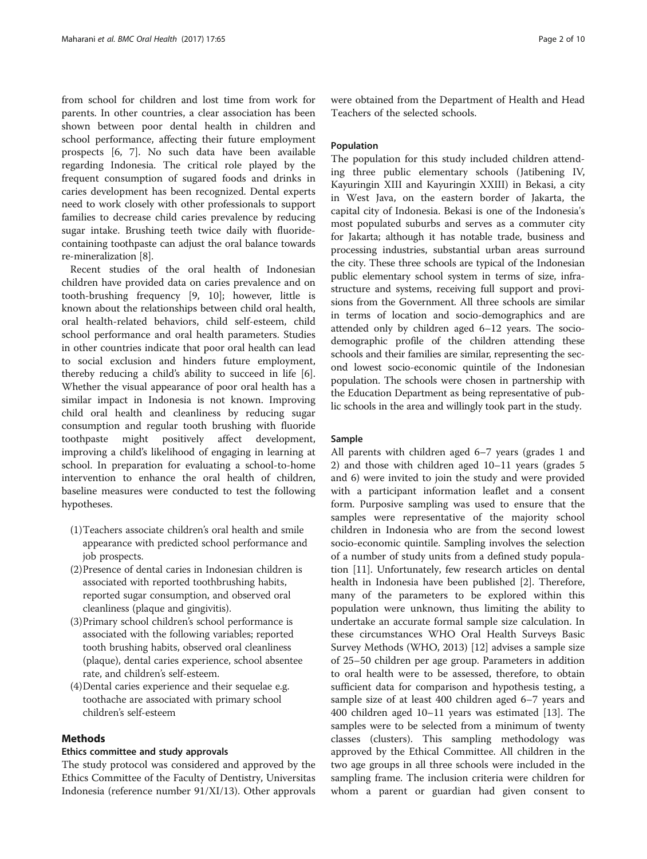from school for children and lost time from work for parents. In other countries, a clear association has been shown between poor dental health in children and school performance, affecting their future employment prospects [[6](#page-8-0), [7](#page-8-0)]. No such data have been available regarding Indonesia. The critical role played by the frequent consumption of sugared foods and drinks in caries development has been recognized. Dental experts need to work closely with other professionals to support families to decrease child caries prevalence by reducing sugar intake. Brushing teeth twice daily with fluoridecontaining toothpaste can adjust the oral balance towards re-mineralization [\[8](#page-8-0)].

Recent studies of the oral health of Indonesian children have provided data on caries prevalence and on tooth-brushing frequency [[9, 10](#page-8-0)]; however, little is known about the relationships between child oral health, oral health-related behaviors, child self-esteem, child school performance and oral health parameters. Studies in other countries indicate that poor oral health can lead to social exclusion and hinders future employment, thereby reducing a child's ability to succeed in life [\[6](#page-8-0)]. Whether the visual appearance of poor oral health has a similar impact in Indonesia is not known. Improving child oral health and cleanliness by reducing sugar consumption and regular tooth brushing with fluoride toothpaste might positively affect development, improving a child's likelihood of engaging in learning at school. In preparation for evaluating a school-to-home intervention to enhance the oral health of children, baseline measures were conducted to test the following hypotheses.

- (1)Teachers associate children's oral health and smile appearance with predicted school performance and job prospects.
- (2)Presence of dental caries in Indonesian children is associated with reported toothbrushing habits, reported sugar consumption, and observed oral cleanliness (plaque and gingivitis).
- (3)Primary school children's school performance is associated with the following variables; reported tooth brushing habits, observed oral cleanliness (plaque), dental caries experience, school absentee rate, and children's self-esteem.
- (4)Dental caries experience and their sequelae e.g. toothache are associated with primary school children's self-esteem

### Methods

#### Ethics committee and study approvals

The study protocol was considered and approved by the Ethics Committee of the Faculty of Dentistry, Universitas Indonesia (reference number 91/XI/13). Other approvals were obtained from the Department of Health and Head Teachers of the selected schools.

#### Population

The population for this study included children attending three public elementary schools (Jatibening IV, Kayuringin XIII and Kayuringin XXIII) in Bekasi, a city in West Java, on the eastern border of Jakarta, the capital city of Indonesia. Bekasi is one of the Indonesia's most populated suburbs and serves as a commuter city for Jakarta; although it has notable trade, business and processing industries, substantial urban areas surround the city. These three schools are typical of the Indonesian public elementary school system in terms of size, infrastructure and systems, receiving full support and provisions from the Government. All three schools are similar in terms of location and socio-demographics and are attended only by children aged 6–12 years. The sociodemographic profile of the children attending these schools and their families are similar, representing the second lowest socio-economic quintile of the Indonesian population. The schools were chosen in partnership with the Education Department as being representative of public schools in the area and willingly took part in the study.

#### Sample

All parents with children aged 6–7 years (grades 1 and 2) and those with children aged 10–11 years (grades 5 and 6) were invited to join the study and were provided with a participant information leaflet and a consent form. Purposive sampling was used to ensure that the samples were representative of the majority school children in Indonesia who are from the second lowest socio-economic quintile. Sampling involves the selection of a number of study units from a defined study population [\[11\]](#page-8-0). Unfortunately, few research articles on dental health in Indonesia have been published [[2\]](#page-8-0). Therefore, many of the parameters to be explored within this population were unknown, thus limiting the ability to undertake an accurate formal sample size calculation. In these circumstances WHO Oral Health Surveys Basic Survey Methods (WHO, 2013) [[12\]](#page-8-0) advises a sample size of 25–50 children per age group. Parameters in addition to oral health were to be assessed, therefore, to obtain sufficient data for comparison and hypothesis testing, a sample size of at least 400 children aged 6–7 years and 400 children aged 10–11 years was estimated [\[13](#page-8-0)]. The samples were to be selected from a minimum of twenty classes (clusters). This sampling methodology was approved by the Ethical Committee. All children in the two age groups in all three schools were included in the sampling frame. The inclusion criteria were children for whom a parent or guardian had given consent to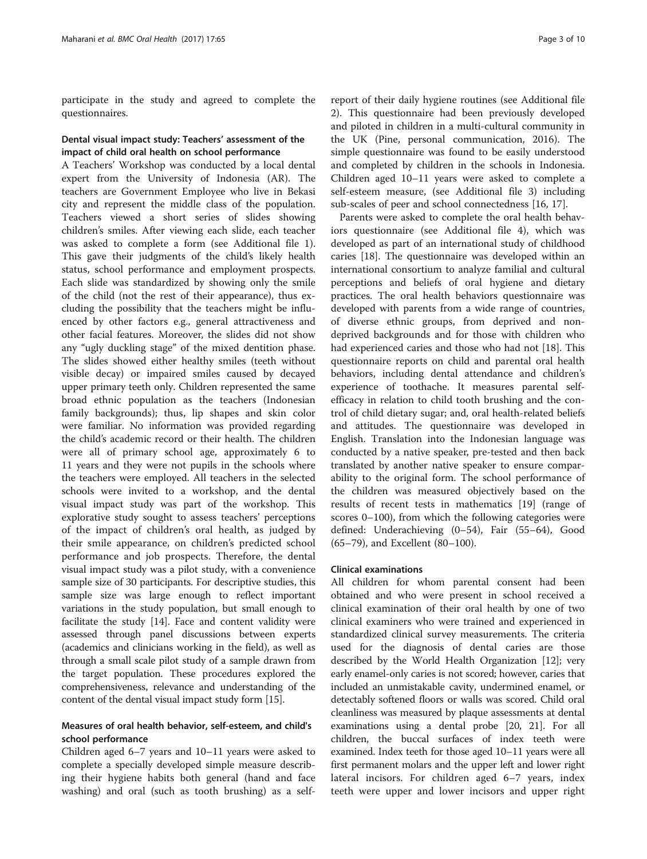participate in the study and agreed to complete the questionnaires.

### Dental visual impact study: Teachers' assessment of the impact of child oral health on school performance

A Teachers' Workshop was conducted by a local dental expert from the University of Indonesia (AR). The teachers are Government Employee who live in Bekasi city and represent the middle class of the population. Teachers viewed a short series of slides showing children's smiles. After viewing each slide, each teacher was asked to complete a form (see Additional file [1](#page-8-0)). This gave their judgments of the child's likely health status, school performance and employment prospects. Each slide was standardized by showing only the smile of the child (not the rest of their appearance), thus excluding the possibility that the teachers might be influenced by other factors e.g., general attractiveness and other facial features. Moreover, the slides did not show any "ugly duckling stage" of the mixed dentition phase. The slides showed either healthy smiles (teeth without visible decay) or impaired smiles caused by decayed upper primary teeth only. Children represented the same broad ethnic population as the teachers (Indonesian family backgrounds); thus, lip shapes and skin color were familiar. No information was provided regarding the child's academic record or their health. The children were all of primary school age, approximately 6 to 11 years and they were not pupils in the schools where the teachers were employed. All teachers in the selected schools were invited to a workshop, and the dental visual impact study was part of the workshop. This explorative study sought to assess teachers' perceptions of the impact of children's oral health, as judged by their smile appearance, on children's predicted school performance and job prospects. Therefore, the dental visual impact study was a pilot study, with a convenience sample size of 30 participants. For descriptive studies, this sample size was large enough to reflect important variations in the study population, but small enough to facilitate the study [[14](#page-8-0)]. Face and content validity were assessed through panel discussions between experts (academics and clinicians working in the field), as well as through a small scale pilot study of a sample drawn from the target population. These procedures explored the comprehensiveness, relevance and understanding of the content of the dental visual impact study form [\[15](#page-8-0)].

## Measures of oral health behavior, self-esteem, and child's school performance

Children aged 6–7 years and 10–11 years were asked to complete a specially developed simple measure describing their hygiene habits both general (hand and face washing) and oral (such as tooth brushing) as a self-

report of their daily hygiene routines (see Additional file [2\)](#page-8-0). This questionnaire had been previously developed and piloted in children in a multi-cultural community in the UK (Pine, personal communication, 2016). The simple questionnaire was found to be easily understood and completed by children in the schools in Indonesia. Children aged 10–11 years were asked to complete a self-esteem measure, (see Additional file [3\)](#page-8-0) including sub-scales of peer and school connectedness [\[16, 17\]](#page-8-0).

Parents were asked to complete the oral health behaviors questionnaire (see Additional file [4\)](#page-8-0), which was developed as part of an international study of childhood caries [\[18](#page-8-0)]. The questionnaire was developed within an international consortium to analyze familial and cultural perceptions and beliefs of oral hygiene and dietary practices. The oral health behaviors questionnaire was developed with parents from a wide range of countries, of diverse ethnic groups, from deprived and nondeprived backgrounds and for those with children who had experienced caries and those who had not [\[18](#page-8-0)]. This questionnaire reports on child and parental oral health behaviors, including dental attendance and children's experience of toothache. It measures parental selfefficacy in relation to child tooth brushing and the control of child dietary sugar; and, oral health-related beliefs and attitudes. The questionnaire was developed in English. Translation into the Indonesian language was conducted by a native speaker, pre-tested and then back translated by another native speaker to ensure comparability to the original form. The school performance of the children was measured objectively based on the results of recent tests in mathematics [[19](#page-8-0)] (range of scores 0–100), from which the following categories were defined: Underachieving (0–54), Fair (55–64), Good (65–79), and Excellent (80–100).

#### Clinical examinations

All children for whom parental consent had been obtained and who were present in school received a clinical examination of their oral health by one of two clinical examiners who were trained and experienced in standardized clinical survey measurements. The criteria used for the diagnosis of dental caries are those described by the World Health Organization [\[12\]](#page-8-0); very early enamel-only caries is not scored; however, caries that included an unmistakable cavity, undermined enamel, or detectably softened floors or walls was scored. Child oral cleanliness was measured by plaque assessments at dental examinations using a dental probe [[20](#page-8-0), [21\]](#page-8-0). For all children, the buccal surfaces of index teeth were examined. Index teeth for those aged 10–11 years were all first permanent molars and the upper left and lower right lateral incisors. For children aged 6–7 years, index teeth were upper and lower incisors and upper right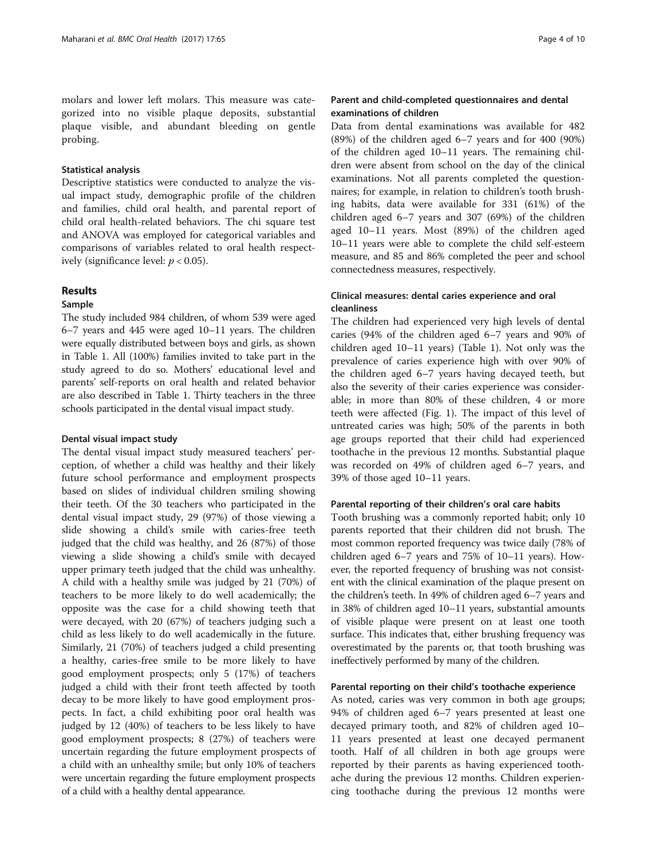molars and lower left molars. This measure was categorized into no visible plaque deposits, substantial plaque visible, and abundant bleeding on gentle probing.

#### Statistical analysis

Descriptive statistics were conducted to analyze the visual impact study, demographic profile of the children and families, child oral health, and parental report of child oral health-related behaviors. The chi square test and ANOVA was employed for categorical variables and comparisons of variables related to oral health respectively (significance level:  $p < 0.05$ ).

#### Results

#### Sample

The study included 984 children, of whom 539 were aged 6–7 years and 445 were aged 10–11 years. The children were equally distributed between boys and girls, as shown in Table [1](#page-4-0). All (100%) families invited to take part in the study agreed to do so. Mothers' educational level and parents' self-reports on oral health and related behavior are also described in Table [1](#page-4-0). Thirty teachers in the three schools participated in the dental visual impact study.

#### Dental visual impact study

The dental visual impact study measured teachers' perception, of whether a child was healthy and their likely future school performance and employment prospects based on slides of individual children smiling showing their teeth. Of the 30 teachers who participated in the dental visual impact study, 29 (97%) of those viewing a slide showing a child's smile with caries-free teeth judged that the child was healthy, and 26 (87%) of those viewing a slide showing a child's smile with decayed upper primary teeth judged that the child was unhealthy. A child with a healthy smile was judged by 21 (70%) of teachers to be more likely to do well academically; the opposite was the case for a child showing teeth that were decayed, with 20 (67%) of teachers judging such a child as less likely to do well academically in the future. Similarly, 21 (70%) of teachers judged a child presenting a healthy, caries-free smile to be more likely to have good employment prospects; only 5 (17%) of teachers judged a child with their front teeth affected by tooth decay to be more likely to have good employment prospects. In fact, a child exhibiting poor oral health was judged by 12 (40%) of teachers to be less likely to have good employment prospects; 8 (27%) of teachers were uncertain regarding the future employment prospects of a child with an unhealthy smile; but only 10% of teachers were uncertain regarding the future employment prospects of a child with a healthy dental appearance.

# Parent and child-completed questionnaires and dental examinations of children

Data from dental examinations was available for 482 (89%) of the children aged 6–7 years and for 400 (90%) of the children aged 10–11 years. The remaining children were absent from school on the day of the clinical examinations. Not all parents completed the questionnaires; for example, in relation to children's tooth brushing habits, data were available for 331 (61%) of the children aged 6–7 years and 307 (69%) of the children aged 10–11 years. Most (89%) of the children aged 10–11 years were able to complete the child self-esteem measure, and 85 and 86% completed the peer and school connectedness measures, respectively.

# Clinical measures: dental caries experience and oral cleanliness

The children had experienced very high levels of dental caries (94% of the children aged 6–7 years and 90% of children aged 10–11 years) (Table [1](#page-4-0)). Not only was the prevalence of caries experience high with over 90% of the children aged 6–7 years having decayed teeth, but also the severity of their caries experience was considerable; in more than 80% of these children, 4 or more teeth were affected (Fig. [1](#page-5-0)). The impact of this level of untreated caries was high; 50% of the parents in both age groups reported that their child had experienced toothache in the previous 12 months. Substantial plaque was recorded on 49% of children aged 6–7 years, and 39% of those aged 10–11 years.

#### Parental reporting of their children's oral care habits

Tooth brushing was a commonly reported habit; only 10 parents reported that their children did not brush. The most common reported frequency was twice daily (78% of children aged 6–7 years and 75% of 10–11 years). However, the reported frequency of brushing was not consistent with the clinical examination of the plaque present on the children's teeth. In 49% of children aged 6–7 years and in 38% of children aged 10–11 years, substantial amounts of visible plaque were present on at least one tooth surface. This indicates that, either brushing frequency was overestimated by the parents or, that tooth brushing was ineffectively performed by many of the children.

#### Parental reporting on their child's toothache experience

As noted, caries was very common in both age groups; 94% of children aged 6–7 years presented at least one decayed primary tooth, and 82% of children aged 10– 11 years presented at least one decayed permanent tooth. Half of all children in both age groups were reported by their parents as having experienced toothache during the previous 12 months. Children experiencing toothache during the previous 12 months were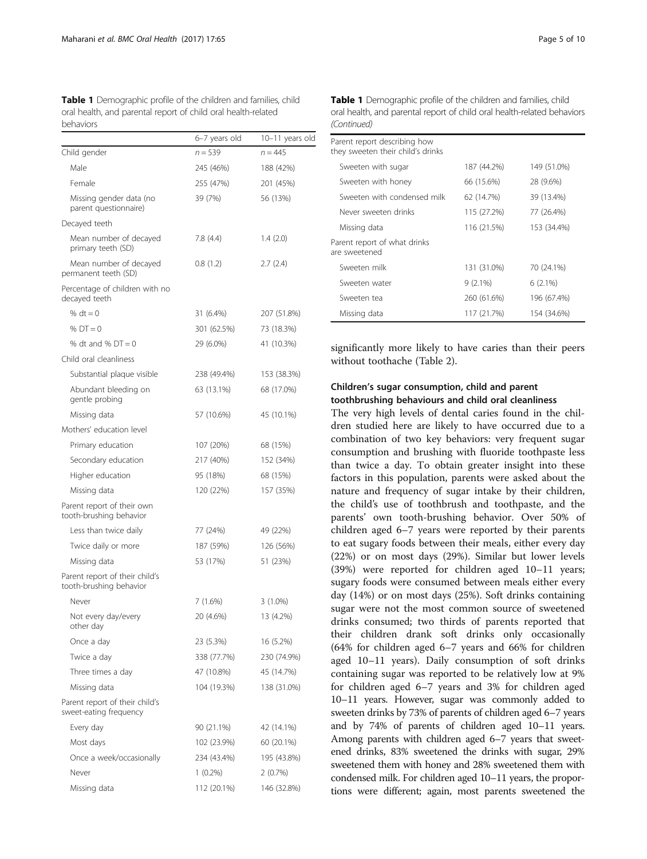<span id="page-4-0"></span>Table 1 Demographic profile of the children and families, child oral health, and parental report of child oral health-related behaviors

|                                                           | 6-7 years old | 10–11 years old |
|-----------------------------------------------------------|---------------|-----------------|
| Child gender                                              | $n = 539$     | $n = 445$       |
| Male                                                      | 245 (46%)     | 188 (42%)       |
| Female                                                    | 255 (47%)     | 201 (45%)       |
| Missing gender data (no<br>parent questionnaire)          | 39 (7%)       | 56 (13%)        |
| Decayed teeth                                             |               |                 |
| Mean number of decayed<br>primary teeth (SD)              | 7.8(4.4)      | 1.4(2.0)        |
| Mean number of decayed<br>permanent teeth (SD)            | 0.8(1.2)      | 2.7(2.4)        |
| Percentage of children with no<br>decayed teeth           |               |                 |
| % $dt = 0$                                                | 31 (6.4%)     | 207 (51.8%)     |
| % $DT = 0$                                                | 301 (62.5%)   | 73 (18.3%)      |
| % dt and % $DT = 0$                                       | 29 (6.0%)     | 41 (10.3%)      |
| Child oral cleanliness                                    |               |                 |
| Substantial plaque visible                                | 238 (49.4%)   | 153 (38.3%)     |
| Abundant bleeding on<br>gentle probing                    | 63 (13.1%)    | 68 (17.0%)      |
| Missing data                                              | 57 (10.6%)    | 45 (10.1%)      |
| Mothers' education level                                  |               |                 |
| Primary education                                         | 107 (20%)     | 68 (15%)        |
| Secondary education                                       | 217 (40%)     | 152 (34%)       |
| Higher education                                          | 95 (18%)      | 68 (15%)        |
| Missing data                                              | 120 (22%)     | 157 (35%)       |
| Parent report of their own<br>tooth-brushing behavior     |               |                 |
| Less than twice daily                                     | 77 (24%)      | 49 (22%)        |
| Twice daily or more                                       | 187 (59%)     | 126 (56%)       |
| Missing data                                              | 53 (17%)      | 51 (23%)        |
| Parent report of their child's<br>tooth-brushing behavior |               |                 |
| Never                                                     | 7(1.6%)       | $3(1.0\%)$      |
| Not every day/every<br>other day                          | 20 (4.6%)     | 13 (4.2%)       |
| Once a day                                                | 23 (5.3%)     | 16 (5.2%)       |
| Twice a day                                               | 338 (77.7%)   | 230 (74.9%)     |
| Three times a day                                         | 47 (10.8%)    | 45 (14.7%)      |
| Missing data                                              | 104 (19.3%)   | 138 (31.0%)     |
| Parent report of their child's<br>sweet-eating frequency  |               |                 |
| Every day                                                 | 90 (21.1%)    | 42 (14.1%)      |
| Most days                                                 | 102 (23.9%)   | 60 (20.1%)      |
| Once a week/occasionally                                  | 234 (43.4%)   | 195 (43.8%)     |
| Never                                                     | $1(0.2\%)$    | 2(0.7%)         |
| Missing data                                              | 112 (20.1%)   | 146 (32.8%)     |

| <b>Table 1</b> Demographic profile of the children and families, child  |
|-------------------------------------------------------------------------|
| oral health, and parental report of child oral health-related behaviors |
| (Continued)                                                             |

| Parent report describing how<br>they sweeten their child's drinks |             |             |  |  |  |
|-------------------------------------------------------------------|-------------|-------------|--|--|--|
| Sweeten with sugar                                                | 187 (44.2%) | 149 (51.0%) |  |  |  |
| Sweeten with honey                                                | 66 (15.6%)  | 28 (9.6%)   |  |  |  |
| Sweeten with condensed milk                                       | 62 (14.7%)  | 39 (13.4%)  |  |  |  |
| Never sweeten drinks                                              | 115 (27.2%) | 77 (26.4%)  |  |  |  |
| Missing data                                                      | 116 (21.5%) | 153 (34.4%) |  |  |  |
| Parent report of what drinks<br>are sweetened                     |             |             |  |  |  |
| Sweeten milk                                                      | 131 (31.0%) | 70 (24.1%)  |  |  |  |
| Sweeten water                                                     | $9(2.1\%)$  | $6(2.1\%)$  |  |  |  |
| Sweeten tea                                                       | 260 (61.6%) | 196 (67.4%) |  |  |  |
| Missing data                                                      | 117 (21.7%) | 154 (34.6%) |  |  |  |

significantly more likely to have caries than their peers without toothache (Table [2\)](#page-5-0).

# Children's sugar consumption, child and parent toothbrushing behaviours and child oral cleanliness

The very high levels of dental caries found in the children studied here are likely to have occurred due to a combination of two key behaviors: very frequent sugar consumption and brushing with fluoride toothpaste less than twice a day. To obtain greater insight into these factors in this population, parents were asked about the nature and frequency of sugar intake by their children, the child's use of toothbrush and toothpaste, and the parents' own tooth-brushing behavior. Over 50% of children aged 6–7 years were reported by their parents to eat sugary foods between their meals, either every day (22%) or on most days (29%). Similar but lower levels (39%) were reported for children aged 10–11 years; sugary foods were consumed between meals either every day (14%) or on most days (25%). Soft drinks containing sugar were not the most common source of sweetened drinks consumed; two thirds of parents reported that their children drank soft drinks only occasionally (64% for children aged 6–7 years and 66% for children aged 10–11 years). Daily consumption of soft drinks containing sugar was reported to be relatively low at 9% for children aged 6–7 years and 3% for children aged 10–11 years. However, sugar was commonly added to sweeten drinks by 73% of parents of children aged 6–7 years and by 74% of parents of children aged 10–11 years. Among parents with children aged 6–7 years that sweetened drinks, 83% sweetened the drinks with sugar, 29% sweetened them with honey and 28% sweetened them with condensed milk. For children aged 10–11 years, the proportions were different; again, most parents sweetened the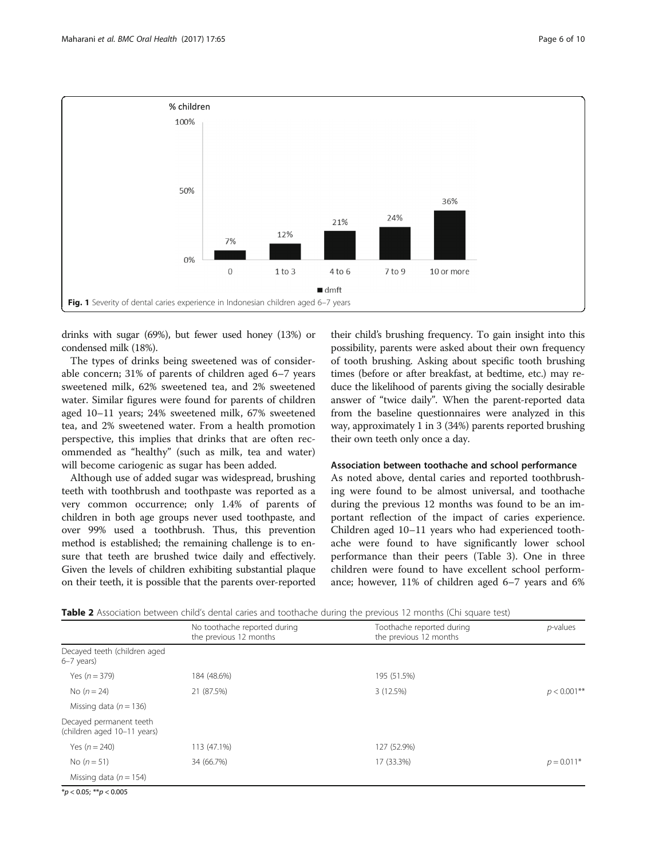<span id="page-5-0"></span>

drinks with sugar (69%), but fewer used honey (13%) or condensed milk (18%).

The types of drinks being sweetened was of considerable concern; 31% of parents of children aged 6–7 years sweetened milk, 62% sweetened tea, and 2% sweetened water. Similar figures were found for parents of children aged 10–11 years; 24% sweetened milk, 67% sweetened tea, and 2% sweetened water. From a health promotion perspective, this implies that drinks that are often recommended as "healthy" (such as milk, tea and water) will become cariogenic as sugar has been added.

Although use of added sugar was widespread, brushing teeth with toothbrush and toothpaste was reported as a very common occurrence; only 1.4% of parents of children in both age groups never used toothpaste, and over 99% used a toothbrush. Thus, this prevention method is established; the remaining challenge is to ensure that teeth are brushed twice daily and effectively. Given the levels of children exhibiting substantial plaque on their teeth, it is possible that the parents over-reported

their child's brushing frequency. To gain insight into this possibility, parents were asked about their own frequency of tooth brushing. Asking about specific tooth brushing times (before or after breakfast, at bedtime, etc.) may reduce the likelihood of parents giving the socially desirable answer of "twice daily". When the parent-reported data from the baseline questionnaires were analyzed in this way, approximately 1 in 3 (34%) parents reported brushing their own teeth only once a day.

#### Association between toothache and school performance

As noted above, dental caries and reported toothbrushing were found to be almost universal, and toothache during the previous 12 months was found to be an important reflection of the impact of caries experience. Children aged 10–11 years who had experienced toothache were found to have significantly lower school performance than their peers (Table [3](#page-6-0)). One in three children were found to have excellent school performance; however, 11% of children aged 6–7 years and 6%

|                                                        | No toothache reported during<br>the previous 12 months | Toothache reported during<br>the previous 12 months | $p$ -values    |  |
|--------------------------------------------------------|--------------------------------------------------------|-----------------------------------------------------|----------------|--|
| Decayed teeth (children aged<br>$6-7$ years)           |                                                        |                                                     |                |  |
| Yes $(n = 379)$                                        | 184 (48.6%)                                            | 195 (51.5%)                                         |                |  |
| No $(n = 24)$                                          | 21 (87.5%)                                             | 3(12.5%)                                            | $p < 0.001$ ** |  |
| Missing data ( $n = 136$ )                             |                                                        |                                                     |                |  |
| Decayed permanent teeth<br>(children aged 10-11 years) |                                                        |                                                     |                |  |
| Yes $(n = 240)$                                        | 113 (47.1%)                                            | 127 (52.9%)                                         |                |  |
| No $(n = 51)$                                          | 34 (66.7%)                                             | 17 (33.3%)                                          | $p = 0.011*$   |  |
| Missing data ( $n = 154$ )                             |                                                        |                                                     |                |  |
| $X_1, A \cap Y_2, A \cap Y_3$                          |                                                        |                                                     |                |  |

 $**p* < 0.05; ***p* < 0.005$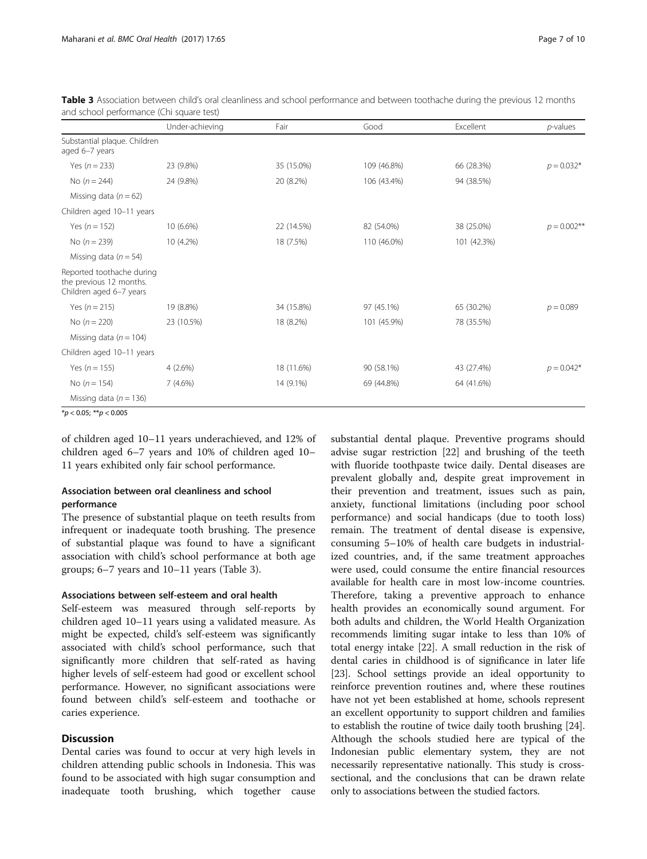|                                                                                 | Under-achieving | Fair       | Good        | Excellent   | p-values       |
|---------------------------------------------------------------------------------|-----------------|------------|-------------|-------------|----------------|
| Substantial plaque. Children<br>aged 6-7 years                                  |                 |            |             |             |                |
| Yes $(n = 233)$                                                                 | 23 (9.8%)       | 35 (15.0%) | 109 (46.8%) | 66 (28.3%)  | $p = 0.032*$   |
| No $(n = 244)$                                                                  | 24 (9.8%)       | 20 (8.2%)  | 106 (43.4%) | 94 (38.5%)  |                |
| Missing data ( $n = 62$ )                                                       |                 |            |             |             |                |
| Children aged 10-11 years                                                       |                 |            |             |             |                |
| Yes ( $n = 152$ )                                                               | 10 (6.6%)       | 22 (14.5%) | 82 (54.0%)  | 38 (25.0%)  | $p = 0.002$ ** |
| No $(n = 239)$                                                                  | 10 (4.2%)       | 18 (7.5%)  | 110 (46.0%) | 101 (42.3%) |                |
| Missing data ( $n = 54$ )                                                       |                 |            |             |             |                |
| Reported toothache during<br>the previous 12 months.<br>Children aged 6-7 years |                 |            |             |             |                |
| Yes $(n = 215)$                                                                 | 19 (8.8%)       | 34 (15.8%) | 97 (45.1%)  | 65 (30.2%)  | $p = 0.089$    |
| No $(n = 220)$                                                                  | 23 (10.5%)      | 18 (8.2%)  | 101 (45.9%) | 78 (35.5%)  |                |
| Missing data ( $n = 104$ )                                                      |                 |            |             |             |                |
| Children aged 10-11 years                                                       |                 |            |             |             |                |
| Yes ( $n = 155$ )                                                               | 4(2.6%)         | 18 (11.6%) | 90 (58.1%)  | 43 (27.4%)  | $p = 0.042*$   |
| No $(n = 154)$                                                                  | 7(4.6%)         | 14 (9.1%)  | 69 (44.8%)  | 64 (41.6%)  |                |
| Missing data ( $n = 136$ )                                                      |                 |            |             |             |                |

<span id="page-6-0"></span>Table 3 Association between child's oral cleanliness and school performance and between toothache during the previous 12 months and school performance (Chi square test)

 $**p* < 0.05; ***p* < 0.005$ 

of children aged 10–11 years underachieved, and 12% of children aged 6–7 years and 10% of children aged 10– 11 years exhibited only fair school performance.

# Association between oral cleanliness and school performance

The presence of substantial plaque on teeth results from infrequent or inadequate tooth brushing. The presence of substantial plaque was found to have a significant association with child's school performance at both age groups; 6–7 years and 10–11 years (Table 3).

#### Associations between self-esteem and oral health

Self-esteem was measured through self-reports by children aged 10–11 years using a validated measure. As might be expected, child's self-esteem was significantly associated with child's school performance, such that significantly more children that self-rated as having higher levels of self-esteem had good or excellent school performance. However, no significant associations were found between child's self-esteem and toothache or caries experience.

# **Discussion**

Dental caries was found to occur at very high levels in children attending public schools in Indonesia. This was found to be associated with high sugar consumption and inadequate tooth brushing, which together cause

substantial dental plaque. Preventive programs should advise sugar restriction [\[22](#page-8-0)] and brushing of the teeth with fluoride toothpaste twice daily. Dental diseases are prevalent globally and, despite great improvement in their prevention and treatment, issues such as pain, anxiety, functional limitations (including poor school performance) and social handicaps (due to tooth loss) remain. The treatment of dental disease is expensive, consuming 5–10% of health care budgets in industrialized countries, and, if the same treatment approaches were used, could consume the entire financial resources available for health care in most low-income countries. Therefore, taking a preventive approach to enhance health provides an economically sound argument. For both adults and children, the World Health Organization recommends limiting sugar intake to less than 10% of total energy intake [[22\]](#page-8-0). A small reduction in the risk of dental caries in childhood is of significance in later life [[23](#page-8-0)]. School settings provide an ideal opportunity to reinforce prevention routines and, where these routines have not yet been established at home, schools represent an excellent opportunity to support children and families to establish the routine of twice daily tooth brushing [[24](#page-8-0)]. Although the schools studied here are typical of the Indonesian public elementary system, they are not necessarily representative nationally. This study is crosssectional, and the conclusions that can be drawn relate only to associations between the studied factors.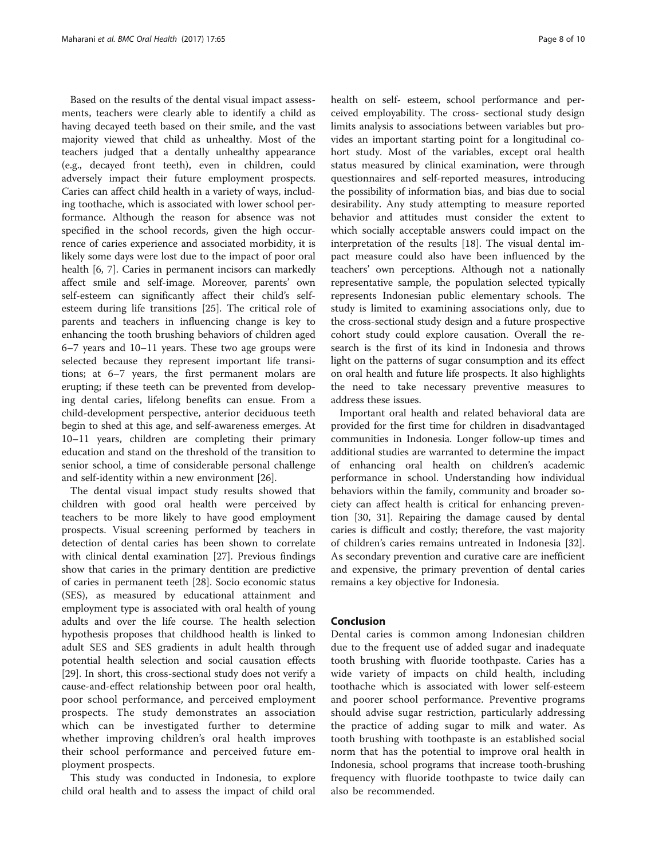Based on the results of the dental visual impact assessments, teachers were clearly able to identify a child as having decayed teeth based on their smile, and the vast majority viewed that child as unhealthy. Most of the teachers judged that a dentally unhealthy appearance (e.g., decayed front teeth), even in children, could adversely impact their future employment prospects. Caries can affect child health in a variety of ways, including toothache, which is associated with lower school performance. Although the reason for absence was not specified in the school records, given the high occurrence of caries experience and associated morbidity, it is likely some days were lost due to the impact of poor oral health [\[6](#page-8-0), [7\]](#page-8-0). Caries in permanent incisors can markedly affect smile and self-image. Moreover, parents' own self-esteem can significantly affect their child's selfesteem during life transitions [\[25\]](#page-8-0). The critical role of parents and teachers in influencing change is key to enhancing the tooth brushing behaviors of children aged 6–7 years and 10–11 years. These two age groups were selected because they represent important life transitions; at 6–7 years, the first permanent molars are erupting; if these teeth can be prevented from developing dental caries, lifelong benefits can ensue. From a child-development perspective, anterior deciduous teeth begin to shed at this age, and self-awareness emerges. At 10–11 years, children are completing their primary education and stand on the threshold of the transition to senior school, a time of considerable personal challenge and self-identity within a new environment [[26\]](#page-8-0).

The dental visual impact study results showed that children with good oral health were perceived by teachers to be more likely to have good employment prospects. Visual screening performed by teachers in detection of dental caries has been shown to correlate with clinical dental examination [\[27](#page-9-0)]. Previous findings show that caries in the primary dentition are predictive of caries in permanent teeth [\[28\]](#page-9-0). Socio economic status (SES), as measured by educational attainment and employment type is associated with oral health of young adults and over the life course. The health selection hypothesis proposes that childhood health is linked to adult SES and SES gradients in adult health through potential health selection and social causation effects [[29\]](#page-9-0). In short, this cross-sectional study does not verify a cause-and-effect relationship between poor oral health, poor school performance, and perceived employment prospects. The study demonstrates an association which can be investigated further to determine whether improving children's oral health improves their school performance and perceived future employment prospects.

This study was conducted in Indonesia, to explore child oral health and to assess the impact of child oral health on self- esteem, school performance and perceived employability. The cross- sectional study design limits analysis to associations between variables but provides an important starting point for a longitudinal cohort study. Most of the variables, except oral health status measured by clinical examination, were through questionnaires and self-reported measures, introducing the possibility of information bias, and bias due to social desirability. Any study attempting to measure reported behavior and attitudes must consider the extent to which socially acceptable answers could impact on the interpretation of the results [\[18](#page-8-0)]. The visual dental impact measure could also have been influenced by the teachers' own perceptions. Although not a nationally representative sample, the population selected typically represents Indonesian public elementary schools. The study is limited to examining associations only, due to the cross-sectional study design and a future prospective cohort study could explore causation. Overall the research is the first of its kind in Indonesia and throws light on the patterns of sugar consumption and its effect on oral health and future life prospects. It also highlights the need to take necessary preventive measures to address these issues.

Important oral health and related behavioral data are provided for the first time for children in disadvantaged communities in Indonesia. Longer follow-up times and additional studies are warranted to determine the impact of enhancing oral health on children's academic performance in school. Understanding how individual behaviors within the family, community and broader society can affect health is critical for enhancing prevention [\[30](#page-9-0), [31](#page-9-0)]. Repairing the damage caused by dental caries is difficult and costly; therefore, the vast majority of children's caries remains untreated in Indonesia [\[32](#page-9-0)]. As secondary prevention and curative care are inefficient and expensive, the primary prevention of dental caries remains a key objective for Indonesia.

#### Conclusion

Dental caries is common among Indonesian children due to the frequent use of added sugar and inadequate tooth brushing with fluoride toothpaste. Caries has a wide variety of impacts on child health, including toothache which is associated with lower self-esteem and poorer school performance. Preventive programs should advise sugar restriction, particularly addressing the practice of adding sugar to milk and water. As tooth brushing with toothpaste is an established social norm that has the potential to improve oral health in Indonesia, school programs that increase tooth-brushing frequency with fluoride toothpaste to twice daily can also be recommended.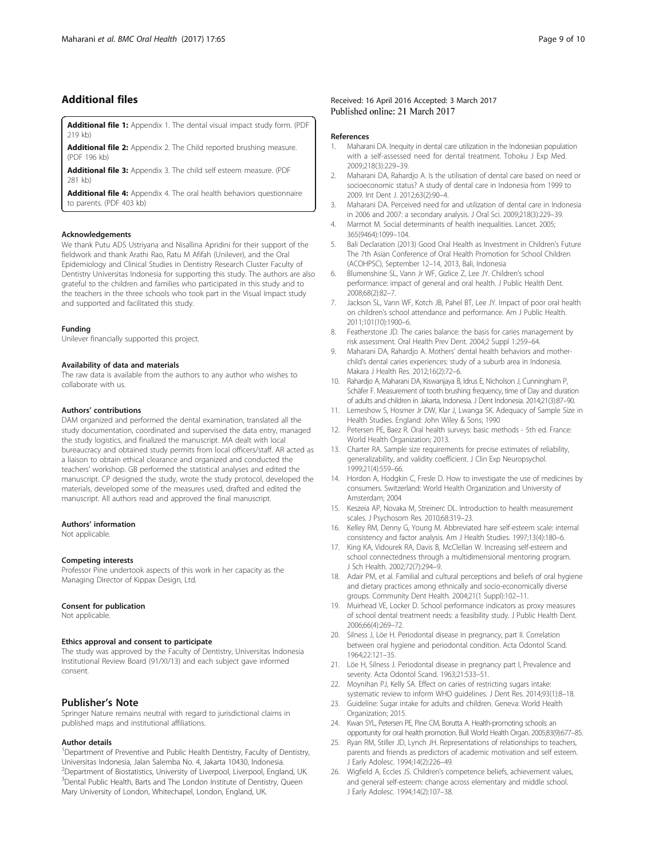# <span id="page-8-0"></span>Additional files

[Additional file 1:](dx.doi.org/10.1186/s12903-017-0358-5) Appendix 1. The dental visual impact study form. (PDF 219 kb)

[Additional file 2:](dx.doi.org/10.1186/s12903-017-0358-5) Appendix 2. The Child reported brushing measure. (PDF 196 kb)

[Additional file 3:](dx.doi.org/10.1186/s12903-017-0358-5) Appendix 3. The child self esteem measure. (PDF 281 kb)

[Additional file 4:](dx.doi.org/10.1186/s12903-017-0358-5) Appendix 4. The oral health behaviors questionnaire to parents. (PDF 403 kb)

#### Acknowledgements

We thank Putu ADS Ustriyana and Nisallina Apridini for their support of the fieldwork and thank Arathi Rao, Ratu M Afifah (Unilever), and the Oral Epidemiology and Clinical Studies in Dentistry Research Cluster Faculty of Dentistry Universitas Indonesia for supporting this study. The authors are also grateful to the children and families who participated in this study and to the teachers in the three schools who took part in the Visual Impact study and supported and facilitated this study.

#### Funding

Unilever financially supported this project.

#### Availability of data and materials

The raw data is available from the authors to any author who wishes to collaborate with us.

#### Authors' contributions

DAM organized and performed the dental examination, translated all the study documentation, coordinated and supervised the data entry, managed the study logistics, and finalized the manuscript. MA dealt with local bureaucracy and obtained study permits from local officers/staff. AR acted as a liaison to obtain ethical clearance and organized and conducted the teachers' workshop. GB performed the statistical analyses and edited the manuscript. CP designed the study, wrote the study protocol, developed the materials, developed some of the measures used, drafted and edited the manuscript. All authors read and approved the final manuscript.

#### Authors' information

Not applicable.

#### Competing interests

Professor Pine undertook aspects of this work in her capacity as the Managing Director of Kippax Design, Ltd.

#### Consent for publication

Not applicable.

#### Ethics approval and consent to participate

The study was approved by the Faculty of Dentistry, Universitas Indonesia Institutional Review Board (91/XI/13) and each subject gave informed consent.

#### Publisher's Note

Springer Nature remains neutral with regard to jurisdictional claims in published maps and institutional affiliations.

#### Author details

<sup>1</sup>Department of Preventive and Public Health Dentistry, Faculty of Dentistry, Universitas Indonesia, Jalan Salemba No. 4, Jakarta 10430, Indonesia. <sup>2</sup>Department of Biostatistics, University of Liverpool, Liverpool, England, UK <sup>3</sup> Dental Public Health, Barts and The London Institute of Dentistry, Queen Mary University of London, Whitechapel, London, England, UK.

#### Received: 16 April 2016 Accepted: 3 March 2017 Published online: 21 March 2017

#### References

- 1. Maharani DA. Inequity in dental care utilization in the Indonesian population with a self-assessed need for dental treatment. Tohoku J Exp Med. 2009;218(3):229–39.
- 2. Maharani DA, Rahardjo A. Is the utilisation of dental care based on need or socioeconomic status? A study of dental care in Indonesia from 1999 to 2009. Int Dent J. 2012;63(2):90–4.
- 3. Maharani DA. Perceived need for and utilization of dental care in Indonesia in 2006 and 2007: a secondary analysis. J Oral Sci. 2009;218(3):229–39.
- 4. Marmot M. Social determinants of health inequalities. Lancet. 2005; 365(9464):1099–104.
- 5. Bali Declaration (2013) Good Oral Health as Investment in Children's Future The 7th Asian Conference of Oral Health Promotion for School Children (ACOHPSC), September 12–14, 2013, Bali, Indonesia
- 6. Blumenshine SL, Vann Jr WF, Gizlice Z, Lee JY. Children's school performance: impact of general and oral health. J Public Health Dent. 2008;68(2):82–7.
- 7. Jackson SL, Vann WF, Kotch JB, Pahel BT, Lee JY. Impact of poor oral health on children's school attendance and performance. Am J Public Health. 2011;101(10):1900–6.
- 8. Featherstone JD. The caries balance: the basis for caries management by risk assessment. Oral Health Prev Dent. 2004;2 Suppl 1:259–64.
- 9. Maharani DA, Rahardjo A. Mothers' dental health behaviors and motherchild's dental caries experiences: study of a suburb area in Indonesia. Makara J Health Res. 2012;16(2):72–6.
- 10. Rahardjo A, Maharani DA, Kiswanjaya B, Idrus E, Nicholson J, Cunningham P, Schäfer F. Measurement of tooth brushing frequency, time of Day and duration of adults and children in Jakarta, Indonesia. J Dent Indonesia. 2014;21(3):87–90.
- 11. Lemeshow S, Hosmer Jr DW, Klar J, Lwanga SK. Adequacy of Sample Size in Health Studies. England: John Wiley & Sons; 1990
- 12. Petersen PE, Baez R. Oral health surveys: basic methods 5th ed. France: World Health Organization; 2013.
- 13. Charter RA. Sample size requirements for precise estimates of reliability, generalizability, and validity coefficient. J Clin Exp Neuropsychol. 1999;21(4):559–66.
- 14. Hordon A, Hodgkin C, Fresle D. How to investigate the use of medicines by consumers. Switzerland: World Health Organization and University of Amsterdam; 2004
- 15. Keszeia AP, Novaka M, Streinerc DL. Introduction to health measurement scales. J Psychosom Res. 2010;68:319–23.
- 16. Kelley RM, Denny G, Young M. Abbreviated hare self-esteem scale: internal consistency and factor analysis. Am J Health Studies. 1997;13(4):180–6.
- 17. King KA, Vidourek RA, Davis B, McClellan W. Increasing self-esteem and school connectedness through a multidimensional mentoring program. J Sch Health. 2002;72(7):294–9.
- 18. Adair PM, et al. Familial and cultural perceptions and beliefs of oral hygiene and dietary practices among ethnically and socio-economically diverse groups. Community Dent Health. 2004;21(1 Suppl):102–11.
- 19. Muirhead VE, Locker D. School performance indicators as proxy measures of school dental treatment needs: a feasibility study. J Public Health Dent. 2006;66(4):269–72.
- 20. Silness J, Löe H. Periodontal disease in pregnancy, part II. Correlation between oral hygiene and periodontal condition. Acta Odontol Scand. 1964;22:121–35.
- 21. Löe H, Silness J. Periodontal disease in pregnancy part I, Prevalence and severity. Acta Odontol Scand. 1963;21:533–51.
- 22. Moynihan PJ, Kelly SA. Effect on caries of restricting sugars intake: systematic review to inform WHO guidelines. J Dent Res. 2014;93(1):8–18.
- 23. Guideline: Sugar intake for adults and children. Geneva: World Health Organization; 2015.
- 24. Kwan SYL, Petersen PE, Pine CM, Borutta A. Health-promoting schools: an opportunity for oral health promotion. Bull World Health Organ. 2005;83(9):677–85.
- 25. Ryan RM, Stiller JD, Lynch JH. Representations of relationships to teachers, parents and friends as predictors of academic motivation and self esteem. J Early Adolesc. 1994;14(2):226–49.
- 26. Wigfield A, Eccles JS. Children's competence beliefs, achievement values, and general self-esteem: change across elementary and middle school. J Early Adolesc. 1994;14(2):107–38.